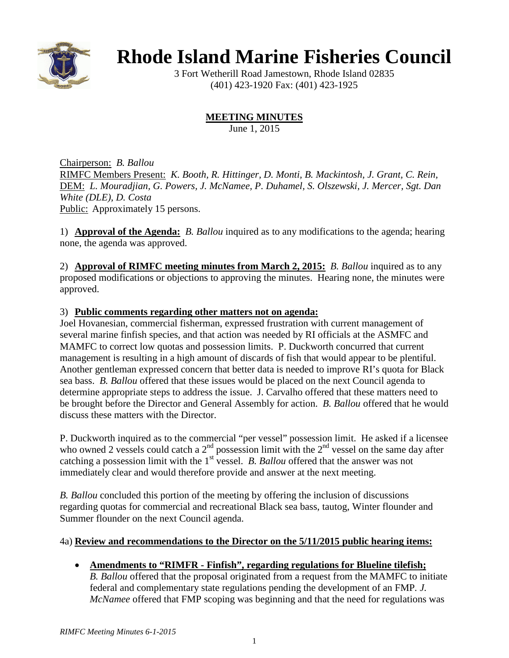

# **Rhode Island Marine Fisheries Council**

3 Fort Wetherill Road Jamestown, Rhode Island 02835 (401) 423-1920 Fax: (401) 423-1925

## **MEETING MINUTES**

June 1, 2015

Chairperson: *B. Ballou* RIMFC Members Present: *K. Booth, R. Hittinger, D. Monti, B. Mackintosh, J. Grant, C. Rein,*  DEM: *L. Mouradjian, G. Powers, J. McNamee, P. Duhamel, S. Olszewski, J. Mercer, Sgt. Dan White (DLE), D. Costa* Public: Approximately 15 persons.

1) **Approval of the Agenda:** *B. Ballou* inquired as to any modifications to the agenda; hearing none, the agenda was approved.

2) **Approval of RIMFC meeting minutes from March 2, 2015:** *B. Ballou* inquired as to any proposed modifications or objections to approving the minutes. Hearing none, the minutes were approved.

## 3) **Public comments regarding other matters not on agenda:**

Joel Hovanesian, commercial fisherman, expressed frustration with current management of several marine finfish species, and that action was needed by RI officials at the ASMFC and MAMFC to correct low quotas and possession limits. P. Duckworth concurred that current management is resulting in a high amount of discards of fish that would appear to be plentiful. Another gentleman expressed concern that better data is needed to improve RI's quota for Black sea bass. *B. Ballou* offered that these issues would be placed on the next Council agenda to determine appropriate steps to address the issue. J. Carvalho offered that these matters need to be brought before the Director and General Assembly for action. *B. Ballou* offered that he would discuss these matters with the Director.

P. Duckworth inquired as to the commercial "per vessel" possession limit. He asked if a licensee who owned 2 vessels could catch a  $2<sup>nd</sup>$  possession limit with the  $2<sup>nd</sup>$  vessel on the same day after catching a possession limit with the 1<sup>st</sup> vessel. *B. Ballou* offered that the answer was not immediately clear and would therefore provide and answer at the next meeting.

*B. Ballou* concluded this portion of the meeting by offering the inclusion of discussions regarding quotas for commercial and recreational Black sea bass, tautog, Winter flounder and Summer flounder on the next Council agenda.

## 4a) **Review and recommendations to the Director on the 5/11/2015 public hearing items:**

## • **Amendments to "RIMFR - Finfish", regarding regulations for Blueline tilefish;**

*B. Ballou* offered that the proposal originated from a request from the MAMFC to initiate federal and complementary state regulations pending the development of an FMP*. J. McNamee* offered that FMP scoping was beginning and that the need for regulations was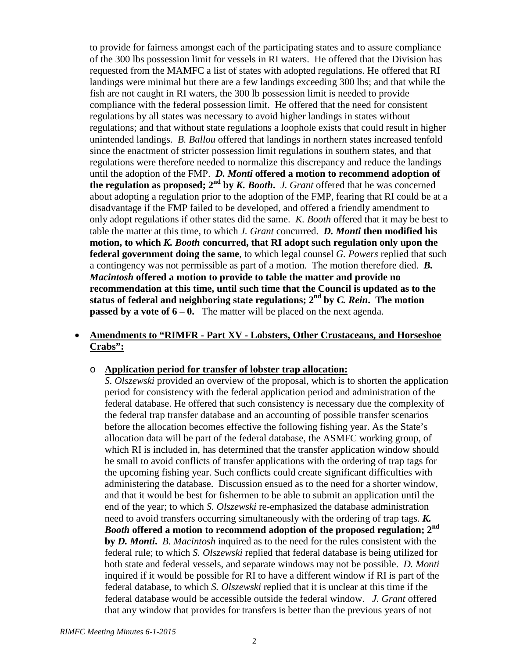to provide for fairness amongst each of the participating states and to assure compliance of the 300 lbs possession limit for vessels in RI waters. He offered that the Division has requested from the MAMFC a list of states with adopted regulations. He offered that RI landings were minimal but there are a few landings exceeding 300 lbs; and that while the fish are not caught in RI waters, the 300 lb possession limit is needed to provide compliance with the federal possession limit. He offered that the need for consistent regulations by all states was necessary to avoid higher landings in states without regulations; and that without state regulations a loophole exists that could result in higher unintended landings. *B. Ballou* offered that landings in northern states increased tenfold since the enactment of stricter possession limit regulations in southern states, and that regulations were therefore needed to normalize this discrepancy and reduce the landings until the adoption of the FMP. *D. Monti* **offered a motion to recommend adoption of the regulation as proposed; 2nd by** *K. Booth***.** *J. Grant* offered that he was concerned about adopting a regulation prior to the adoption of the FMP, fearing that RI could be at a disadvantage if the FMP failed to be developed, and offered a friendly amendment to only adopt regulations if other states did the same. *K. Booth* offered that it may be best to table the matter at this time, to which *J. Grant* concurred. *D. Monti* **then modified his motion, to which** *K. Booth* **concurred, that RI adopt such regulation only upon the federal government doing the same**, to which legal counsel *G. Powers* replied that such a contingency was not permissible as part of a motion*.* The motion therefore died. *B. Macintosh* **offered a motion to provide to table the matter and provide no recommendation at this time, until such time that the Council is updated as to the status of federal and neighboring state regulations; 2nd by** *C. Rein***. The motion passed by a vote of**  $6 - 0$ **.** The matter will be placed on the next agenda.

### • **Amendments to "RIMFR - Part XV - Lobsters, Other Crustaceans, and Horseshoe Crabs":**

#### o **Application period for transfer of lobster trap allocation:**

*S. Olszewski* provided an overview of the proposal, which is to shorten the application period for consistency with the federal application period and administration of the federal database. He offered that such consistency is necessary due the complexity of the federal trap transfer database and an accounting of possible transfer scenarios before the allocation becomes effective the following fishing year. As the State's allocation data will be part of the federal database, the ASMFC working group, of which RI is included in, has determined that the transfer application window should be small to avoid conflicts of transfer applications with the ordering of trap tags for the upcoming fishing year. Such conflicts could create significant difficulties with administering the database. Discussion ensued as to the need for a shorter window, and that it would be best for fishermen to be able to submit an application until the end of the year; to which *S. Olszewski* re-emphasized the database administration need to avoid transfers occurring simultaneously with the ordering of trap tags. *K. Booth* **offered a motion to recommend adoption of the proposed regulation; 2nd by** *D. Monti***.** *B. Macintosh* inquired as to the need for the rules consistent with the federal rule; to which *S. Olszewski* replied that federal database is being utilized for both state and federal vessels, and separate windows may not be possible. *D. Monti* inquired if it would be possible for RI to have a different window if RI is part of the federal database, to which *S. Olszewski* replied that it is unclear at this time if the federal database would be accessible outside the federal window. *J. Grant* offered that any window that provides for transfers is better than the previous years of not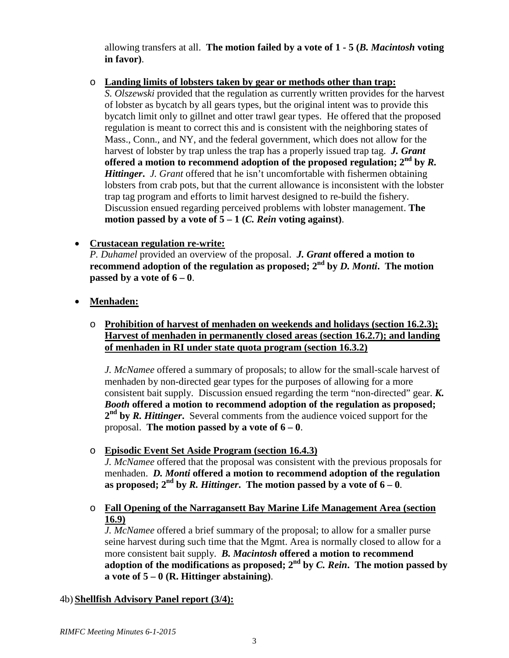allowing transfers at all. **The motion failed by a vote of 1 - 5 (***B. Macintosh* **voting in favor)**.

o **Landing limits of lobsters taken by gear or methods other than trap:**

*S. Olszewski* provided that the regulation as currently written provides for the harvest of lobster as bycatch by all gears types, but the original intent was to provide this bycatch limit only to gillnet and otter trawl gear types. He offered that the proposed regulation is meant to correct this and is consistent with the neighboring states of Mass., Conn., and NY, and the federal government, which does not allow for the harvest of lobster by trap unless the trap has a properly issued trap tag. *J. Grant*  **offered a motion to recommend adoption of the proposed regulation; 2nd by** *R. Hittinger***.** *J. Grant* offered that he isn't uncomfortable with fishermen obtaining lobsters from crab pots, but that the current allowance is inconsistent with the lobster trap tag program and efforts to limit harvest designed to re-build the fishery. Discussion ensued regarding perceived problems with lobster management. **The motion passed by a vote of 5 – 1 (***C. Rein* **voting against)**.

## • **Crustacean regulation re-write:**

*P. Duhamel* provided an overview of the proposal. *J. Grant* **offered a motion to recommend** adoption of the regulation as proposed;  $2^{nd}$  by *D. Monti*. The motion **passed by a vote of**  $6 - 0$ **.** 

- **Menhaden:**
	- o **Prohibition of harvest of menhaden on weekends and holidays (section 16.2.3); Harvest of menhaden in permanently closed areas (section 16.2.7); and landing of menhaden in RI under state quota program (section 16.3.2)**

*J. McNamee* offered a summary of proposals; to allow for the small-scale harvest of menhaden by non-directed gear types for the purposes of allowing for a more consistent bait supply. Discussion ensued regarding the term "non-directed" gear. *K. Booth* **offered a motion to recommend adoption of the regulation as proposed; 2nd by** *R. Hittinger***.** Several comments from the audience voiced support for the proposal. The motion passed by a vote of  $6 - 0$ .

o **Episodic Event Set Aside Program (section 16.4.3)**

*J. McNamee* offered that the proposal was consistent with the previous proposals for menhaden. *D. Monti* **offered a motion to recommend adoption of the regulation**  as proposed;  $2^{nd}$  by *R. Hittinger*. The motion passed by a vote of  $6 - 0$ .

o **Fall Opening of the Narragansett Bay Marine Life Management Area (section 16.9)**

*J. McNamee* offered a brief summary of the proposal; to allow for a smaller purse seine harvest during such time that the Mgmt. Area is normally closed to allow for a more consistent bait supply. *B. Macintosh* **offered a motion to recommend** adoption of the modifications as proposed;  $2<sup>nd</sup>$  by *C. Rein*. The motion passed by a vote of  $5 - 0$  (**R. Hittinger abstaining**).

## 4b) **Shellfish Advisory Panel report (3/4):**